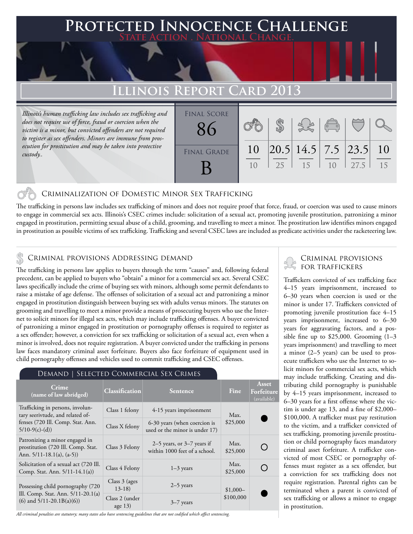# **Protected Innocence Challenge State Action . National Change.**

# **Illinois Report Card 2013**

*Illinois's human trafficking law includes sex trafficking and does not require use of force, fraud or coercion when the victim is a minor, but convicted offenders are not required to register as sex offenders. Minors are immune from prosecution for prostitution and may be taken into protective custody..*

| <b>FINAL SCORE</b> |          |    |                                                          | $\sqrt{\frac{1}{10}}$ |      |           |
|--------------------|----------|----|----------------------------------------------------------|-----------------------|------|-----------|
| <b>FINAL GRADE</b> | 10<br>10 | 25 | $\left  20.5 \right  14.5 \left  7.5 \right  23.5$<br>15 | 10                    | 27.5 | 10<br>1.5 |

### Criminalization of Domestic Minor Sex Trafficking

The trafficking in persons law includes sex trafficking of minors and does not require proof that force, fraud, or coercion was used to cause minors to engage in commercial sex acts. Illinois's CSEC crimes include: solicitation of a sexual act, promoting juvenile prostitution, patronizing a minor engaged in prostitution, permitting sexual abuse of a child, grooming, and travelling to meet a minor. The prostitution law identifies minors engaged in prostitution as possible victims of sex trafficking. Trafficking and several CSEC laws are included as predicate activities under the racketeering law.

## Criminal provisions Addressing demand

The trafficking in persons law applies to buyers through the term "causes" and, following federal precedent, can be applied to buyers who "obtain" a minor for a commercial sex act. Several CSEC laws specifically include the crime of buying sex with minors, although some permit defendants to raise a mistake of age defense. The offenses of solicitation of a sexual act and patronizing a minor engaged in prostitution distinguish between buying sex with adults versus minors. The statutes on grooming and travelling to meet a minor provide a means of prosecuting buyers who use the Internet to solicit minors for illegal sex acts, which may include trafficking offenses. A buyer convicted of patronizing a minor engaged in prostitution or pornography offenses is required to register as a sex offender; however, a conviction for sex trafficking or solicitation of a sexual act, even when a minor is involved, does not require registration. A buyer convicted under the trafficking in persons law faces mandatory criminal asset forfeiture. Buyers also face forfeiture of equipment used in child pornography offenses and vehicles used to commit trafficking and CSEC offenses.

#### Demand | Selected Commercial Sex Crimes

| changed comments and can extend                                                                                              |                             |                                                                |                  |                                    |
|------------------------------------------------------------------------------------------------------------------------------|-----------------------------|----------------------------------------------------------------|------------------|------------------------------------|
| Crime<br>(name of law abridged)                                                                                              | <b>Classification</b>       | <b>Sentence</b>                                                | Fine             | Asset<br>Forfeiture<br>(available) |
| Trafficking in persons, involun-<br>tary seerivtude, and related of-<br>fenses (720 Ill. Comp. Stat. Ann.<br>$5/10-9(c)-(d)$ | Class 1 felony              | 4-15 years imprisonment                                        | Max.             |                                    |
|                                                                                                                              | Class X felony              | 6-30 years (when coercion is<br>used or the minor is under 17) | \$25,000         |                                    |
| Patronizing a minor engaged in<br>prostitution (720 Ill. Comp. Stat.<br>Ann. $5/11-18.1(a)$ , $(a-5)$ )                      | Class 3 Felony              | 2–5 years, or $3-7$ years if<br>within 1000 feet of a school.  | Max.<br>\$25,000 |                                    |
| Solicitation of a sexual act (720 Ill.<br>Comp. Stat. Ann. 5/11-14.1(a))                                                     | Class 4 Felony              | $1-3$ years                                                    | Max.<br>\$25,000 |                                    |
| Possessing child pornography (720)<br>Ill. Comp. Stat. Ann. $5/11-20.1(a)$<br>$(6)$ and $5/11-20.1B(a)(6)$                   | Class $3$ (ages<br>$13-18$  | $2-5$ years<br>$$1,000-$                                       |                  |                                    |
|                                                                                                                              | Class 2 (under<br>age $13)$ | $3-7$ years                                                    | \$100,000        |                                    |

*All criminal penalties are statutory; many states also have sentencing guidelines that are not codified which affect sentencing.* 

## Criminal provisions for traffickers

Traffickers convicted of sex trafficking face 4–15 years imprisonment, increased to 6–30 years when coercion is used or the minor is under 17. Traffickers convicted of promoting juvenile prostitution face 4–15 years imprisonment, increased to 6–30 years for aggravating factors, and a possible fine up to \$25,000. Grooming (1–3 years imprisonment) and travelling to meet a minor (2–5 years) can be used to prosecute traffickers who use the Internet to solicit minors for commercial sex acts, which may include trafficking. Creating and distributing child pornography is punishable by 4–15 years imprisonment, increased to 6–30 years for a first offense where the victim is under age 13, and a fine of \$2,000– \$100,000. A trafficker must pay restitution to the victim, and a trafficker convicted of sex trafficking, promoting juvenile prostitution or child pornography faces mandatory criminal asset forfeiture. A trafficker convicted of most CSEC or pornography offenses must register as a sex offender, but a conviction for sex trafficking does not require registration. Parental rights can be terminated when a parent is convicted of sex trafficking or allows a minor to engage in prostitution.